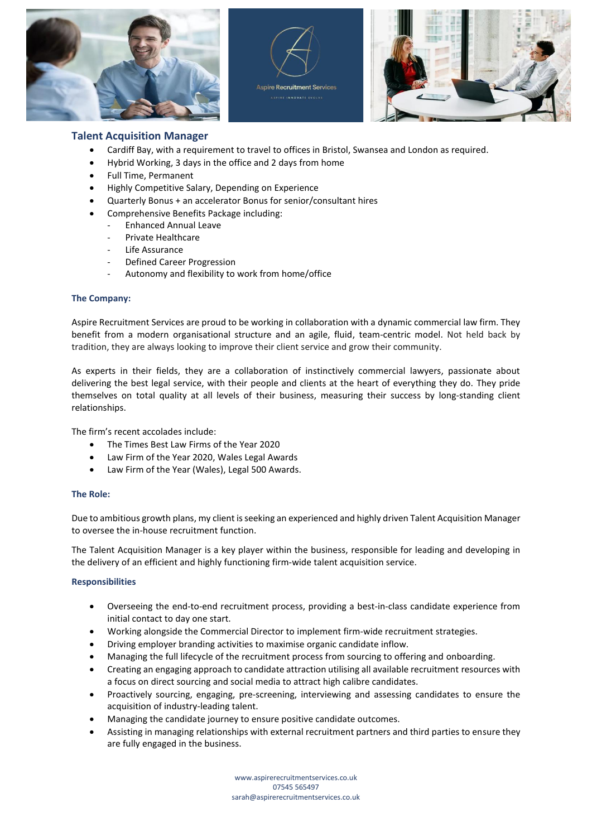





# **Talent Acquisition Manager**

- Cardiff Bay, with a requirement to travel to offices in Bristol, Swansea and London as required.
- Hybrid Working, 3 days in the office and 2 days from home
- Full Time, Permanent
- Highly Competitive Salary, Depending on Experience
- Quarterly Bonus + an accelerator Bonus for senior/consultant hires
- Comprehensive Benefits Package including:
	- Enhanced Annual Leave
	- Private Healthcare
	- Life Assurance
	- Defined Career Progression
	- Autonomy and flexibility to work from home/office

### **The Company:**

Aspire Recruitment Services are proud to be working in collaboration with a dynamic commercial law firm. They benefit from a modern organisational structure and an agile, fluid, team-centric model. Not held back by tradition, they are always looking to improve their client service and grow their community.

As experts in their fields, they are a collaboration of instinctively commercial lawyers, passionate about delivering the best legal service, with their people and clients at the heart of everything they do. They pride themselves on total quality at all levels of their business, measuring their success by long-standing client relationships.

The firm's recent accolades include:

- The Times Best Law Firms of the Year 2020
- Law Firm of the Year 2020, Wales Legal Awards
- Law Firm of the Year (Wales), Legal 500 Awards.

### **The Role:**

Due to ambitious growth plans, my client isseeking an experienced and highly driven Talent Acquisition Manager to oversee the in-house recruitment function.

The Talent Acquisition Manager is a key player within the business, responsible for leading and developing in the delivery of an efficient and highly functioning firm-wide talent acquisition service.

### **Responsibilities**

- Overseeing the end-to-end recruitment process, providing a best-in-class candidate experience from initial contact to day one start.
- Working alongside the Commercial Director to implement firm-wide recruitment strategies.
- Driving employer branding activities to maximise organic candidate inflow.
- Managing the full lifecycle of the recruitment process from sourcing to offering and onboarding.
- Creating an engaging approach to candidate attraction utilising all available recruitment resources with a focus on direct sourcing and social media to attract high calibre candidates.
- Proactively sourcing, engaging, pre-screening, interviewing and assessing candidates to ensure the acquisition of industry-leading talent.
- Managing the candidate journey to ensure positive candidate outcomes.
- Assisting in managing relationships with external recruitment partners and third parties to ensure they are fully engaged in the business.